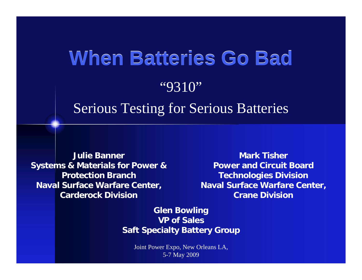# **When Batteries Go Bad When Batteries Go Bad**

#### "9310"

#### Serious Testing for Serious Batteries

**Julie BannerSystems & Materials for Power & Protection BranchNaval Surface Warfare Center, Carderock Division**

**Mark TisherPower and Circuit BoardTechnologies Division Naval Surface Warfare Center, Crane Division**

**Glen Bowling VP of SalesSaft Specialty Battery Group**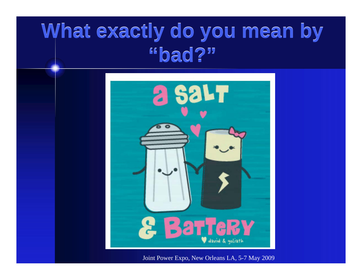### **What exactly do you mean by What exactly do you mean by "bad?" "bad?"**

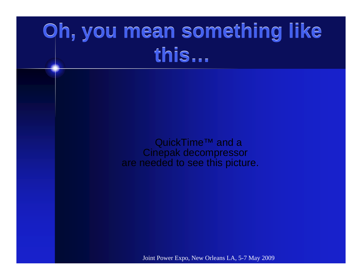## **Oh, you mean something like Oh, you mean something like this… this…**

QuickTime<sup>™</sup> and a Cinepak decompressor are needed to see this picture.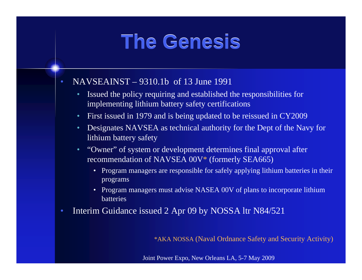### **The Genesis The Genesis**

- NAVSEAINST 9310.1b of 13 June 1991
	- Issued the policy requiring and established the responsibilities for implementing lithium battery safety certifications
	- First issued in 1979 and is being updated to be reissued in CY2009
	- Designates NAVSEA as technical authority for the Dept of the Navy for lithium battery safety
	- "Owner" of system or development determines final approval after recommendation of NAVSEA 00V\* (formerly SEA665)
		- Program managers are responsible for safely applying lithium batteries in their programs
		- Program managers must advise NASEA 00V of plans to incorporate lithium batteries
- Interim Guidance issued 2 Apr 09 by NOSSA ltr N84/521

\*AKA NOSSA (Naval Ordnance Safety and Security Activity)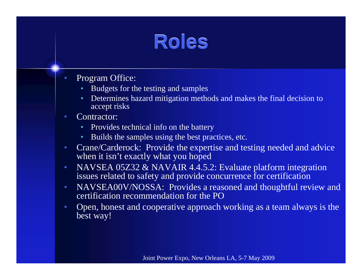### **Roles**

- Program Office:
	- Budgets for the testing and samples
	- Determines hazard mitigation methods and makes the final decision to accept risks
- Contractor:
	- Provides technical info on the battery
	- Builds the samples using the best practices, etc.
- Crane/Carderock: Provide the expertise and testing needed and advice when it isn't exactly what you hoped
- NAVSEA 05Z32 & NAVAIR 4.4.5.2: Evaluate platform integration issues related to safety and provide concurrence for certification
- NAVSEA00V/NOSSA: Provides a reasoned and thoughtful review and certification recommendation for the PO
- Open, honest and cooperative approach working as a team always is the best way!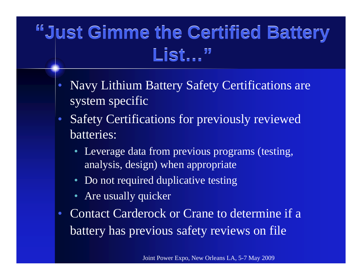#### **"Just Gimme the Certified Battery "Just Gimme the Certified Battery List…" List…"**

- Navy Lithium Battery Safety Certifications are system specific
- Safety Certifications for previously reviewed batteries:
	- Leverage data from previous programs (testing, analysis, design) when appropriate
	- Do not required duplicative testing
	- Are usually quicker
- Contact Carderock or Crane to determine if a battery has previous safety reviews on file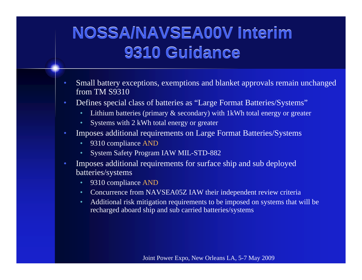#### **NOSSA/NAVSEA00V Interim NOSSA/NAVSEA00V Interim 9310 Guidance 9310 Guidance**

- Small battery exceptions, exemptions and blanket approvals remain unchanged from TM S9310
- Defines special class of batteries as "Large Format Batteries/Systems"
	- Lithium batteries (primary & secondary) with 1kWh total energy or greater
	- Systems with 2 kWh total energy or greater
- Imposes additional requirements on Large Format Batteries/Systems
	- 9310 compliance AND
	- System Safety Program IAW MIL-STD-882
- Imposes additional requirements for surface ship and sub deployed batteries/systems
	- 9310 compliance AND
	- Concurrence from NAVSEA05Z IAW their independent review criteria
	- Additional risk mitigation requirements to be imposed on systems that will be recharged aboard ship and sub carried batteries/systems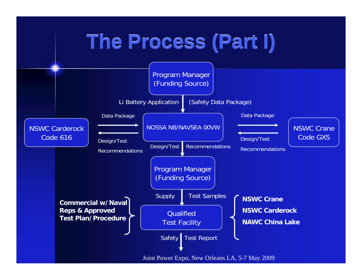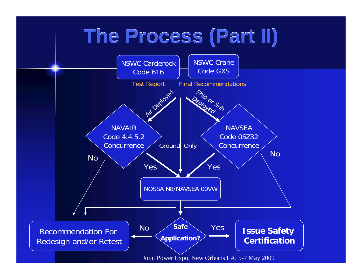## **The Process (Part II) The Process (Part II)**

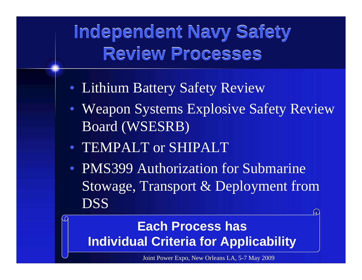#### **Independent Navy Safety Independent Navy Safety Review Processes Review Processes**

- Lithium Battery Safety Review
- Weapon Systems Explosive Safety Review Board (WSESRB)
- TEMPALT or SHIPALT
- PMS399 Authorization for Submarine Stowage, Transport & Deployment from DSS

#### **Each Process has Individual Criteria for Applicability**

Joint Power Expo, New Orleans LA, 5-7 May 2009

ч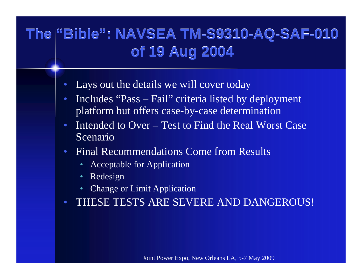#### **The "Bible": NAVSEA TM-S9310-AQ-SAF-010 The "Bible": NAVSEA TM-S9310-AQ-SAF-010 of 19 Aug 2004 of 19 Aug 2004**

- Lays out the details we will cover today
- Includes "Pass Fail" criteria listed by deployment platform but offers case-by-case determination
- Intended to Over Test to Find the Real Worst Case Scenario
- Final Recommendations Come from Results
	- Acceptable for Application
	- Redesign
	- Change or Limit Application
- THESE TESTS ARE SEVERE AND DANGEROUS!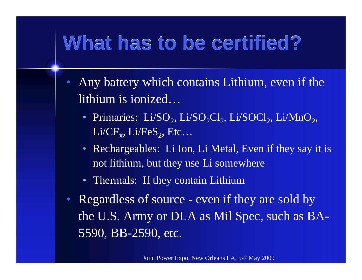## **What has to be certified? What has to be certified?**

- Any battery which contains Lithium, even if the lithium is ionized…
	- Primaries:  $Li/SO<sub>2</sub>, Li/SO<sub>2</sub>, Li/SOCl<sub>2</sub>, Li/NnO<sub>2</sub>$  $Li/CF_{v}$ ,  $Li/FeS_{2}$ , Etc...
	- Rechargeables: Li Ion, Li Metal, Even if they say it is not lithium, but they use Li somewhere
	- Thermals: If they contain Lithium
- Regardless of source even if they are sold by the U.S. Army or DLA as Mil Spec, such as BA-5590, BB-2590, etc.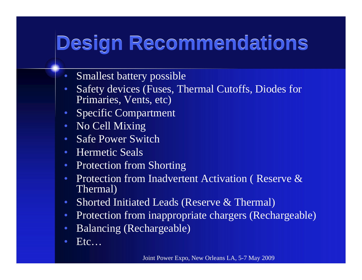# **Design Recommendations Design Recommendations**

- Smallest battery possible
- Safety devices (Fuses, Thermal Cutoffs, Diodes for Primaries, Vents, etc)
- Specific Compartment
- No Cell Mixing
- Safe Power Switch
- Hermetic Seals
- Protection from Shorting
- Protection from Inadvertent Activation ( Reserve & Thermal)
- Shorted Initiated Leads (Reserve & Thermal)
- Protection from inappropriate chargers (Rechargeable)
- Balancing (Rechargeable)
- $Etc...$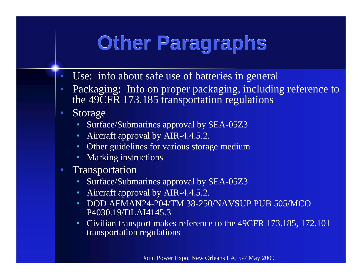## **Other Paragraphs Other Paragraphs**

- Use: info about safe use of batteries in general
- Packaging: Info on proper packaging, including reference to the 49CFR 173.185 transportation regulations
- Storage
	- Surface/Submarines approval by SEA-05Z3
	- Aircraft approval by AIR-4.4.5.2.
	- Other guidelines for various storage medium
	- Marking instructions
- Transportation
	- Surface/Submarines approval by SEA-05Z3
	- Aircraft approval by AIR-4.4.5.2.
	- DOD AFMAN24-204/TM 38-250/NAVSUP PUB 505/MCO P4030.19/DLAI4145.3
	- Civilian transport makes reference to the 49CFR 173.185, 172.101 transportation regulations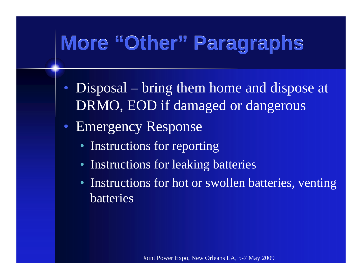# **More "Other" Paragraphs More "Other" Paragraphs**

- Disposal bring them home and dispose at DRMO, EOD if damaged or dangerous
- Emergency Response
	- Instructions for reporting
	- Instructions for leaking batteries
	- Instructions for hot or swollen batteries, venting batteries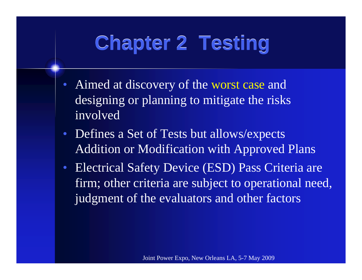## **Chapter 2 Testing Chapter 2 Testing**

- Aimed at discovery of the worst case and designing or planning to mitigate the risks involved
- Defines a Set of Tests but allows/expects Addition or Modification with Approved Plans
- Electrical Safety Device (ESD) Pass Criteria are firm; other criteria are subject to operational need, judgment of the evaluators and other factors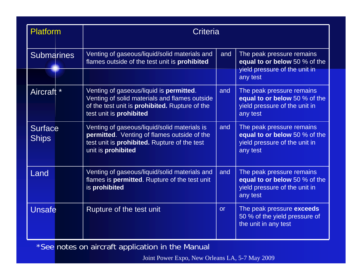| <b>Platform</b>                | <b>Criteria</b>                                                                                                                                                                      |     |                                                                                                         |
|--------------------------------|--------------------------------------------------------------------------------------------------------------------------------------------------------------------------------------|-----|---------------------------------------------------------------------------------------------------------|
| <b>Submarines</b>              | Venting of gaseous/liquid/solid materials and<br>flames outside of the test unit is prohibited                                                                                       | and | The peak pressure remains<br>equal to or below 50 % of the<br>yield pressure of the unit in             |
|                                |                                                                                                                                                                                      |     | any test                                                                                                |
| Aircraft *                     | Venting of gaseous/liquid is <b>permitted</b> .<br>Venting of solid materials and flames outside<br>of the test unit is <b>prohibited.</b> Rupture of the<br>test unit is prohibited | and | The peak pressure remains<br>equal to or below 50 % of the<br>yield pressure of the unit in<br>any test |
| <b>Surface</b><br><b>Ships</b> | Venting of gaseous/liquid/solid materials is<br>permitted. Venting of flames outside of the<br>test unit is <b>prohibited.</b> Rupture of the test<br>unit is <b>prohibited</b>      | and | The peak pressure remains<br>equal to or below 50 % of the<br>yield pressure of the unit in<br>any test |
| Land                           | Venting of gaseous/liquid/solid materials and<br>flames is <b>permitted</b> . Rupture of the test unit<br>is prohibited                                                              | and | The peak pressure remains<br>equal to or below 50 % of the<br>yield pressure of the unit in<br>any test |
| <b>Unsafe</b>                  | Rupture of the test unit                                                                                                                                                             | or  | The peak pressure exceeds<br>50 % of the yield pressure of<br>the unit in any test                      |

\*See notes on aircraft application in the Manual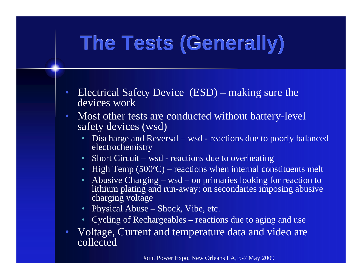## **The Tests (Generally) The Tests (Generally)**

- Electrical Safety Device (ESD) making sure the devices work
- Most other tests are conducted without battery-level safety devices (wsd)
	- Discharge and Reversal wsd reactions due to poorly balanced electrochemistry
	- Short Circuit wsd reactions due to overheating
	- High Temp (500 $\rm ^oC$ ) reactions when internal constituents melt
	- Abusive Charging wsd on primaries looking for reaction to lithium plating and run-away; on secondaries imposing abusive charging voltage
	- Physical Abuse Shock, Vibe, etc.
	- Cycling of Rechargeables reactions due to aging and use
- Voltage, Current and temperature data and video are collected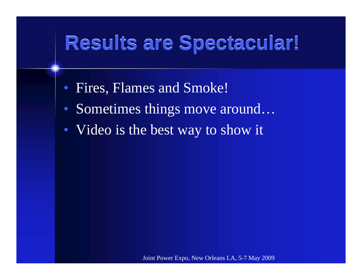## **Results are Spectacular! Results are Spectacular!**

- Fires, Flames and Smoke!
- Sometimes things move around...
- Video is the best way to show it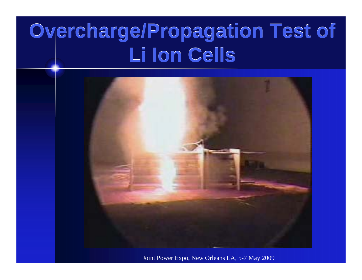## **Overcharge/Propagation Test of Overcharge/Propagation Test of Li Ion Cells Li Ion Cells**

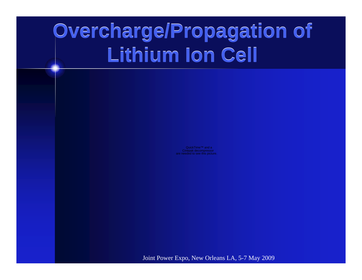## **Overcharge/Propagation of Overcharge/Propagation of Lithium Ion Cell Lithium Ion Cell**

Cinepak decompressor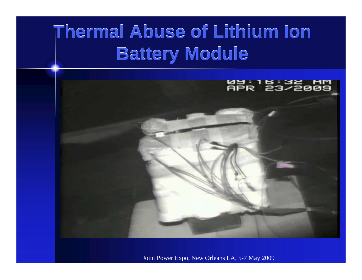#### **Thermal Abuse of Lithium Ion Thermal Abuse of Lithium Ion Battery Module Battery Module**

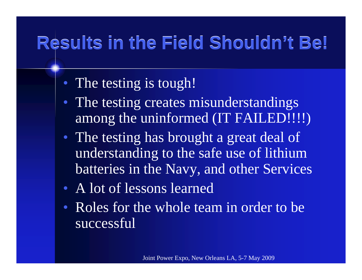### **Results in the Field Shouldn't Be! Results in the Field Shouldn't Be!**

- The testing is tough!
- The testing creates misunderstandings among the uninformed (IT FAILED!!!!)
- The testing has brought a great deal of understanding to the safe use of lithium batteries in the Navy, and other Services
- A lot of lessons learned
- Roles for the whole team in order to be successful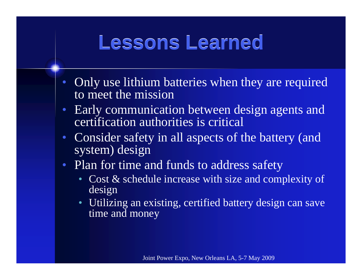### **Lessons Learned Lessons Learned**

- Only use lithium batteries when they are required to meet the mission
- Early communication between design agents and certification authorities is critical
- Consider safety in all aspects of the battery (and system) design
- Plan for time and funds to address safety
	- Cost & schedule increase with size and complexity of design
	- Utilizing an existing, certified battery design can save time and money